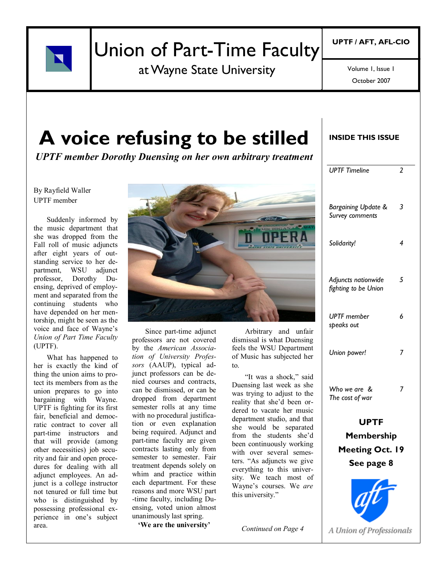

## Union of Part-Time Faculty

at Wayne State University

October 2007 Volume 1, Issue 1

## **A voice refusing to be stilled**

*UPTF member Dorothy Duensing on her own arbitrary treatment*

#### By Rayfield Waller UPTF member

Suddenly informed by the music department that she was dropped from the Fall roll of music adjuncts after eight years of outstanding service to her department, WSU adjunct professor, Dorothy Duensing, deprived of employment and separated from the continuing students who have depended on her mentorship, might be seen as the voice and face of Wayne"s *Union of Part Time Faculty*  (UPTF).

What has happened to her is exactly the kind of thing the union aims to protect its members from as the union prepares to go into bargaining with Wayne. UPTF is fighting for its first fair, beneficial and democratic contract to cover all part-time instructors and that will provide (among other necessities) job security and fair and open procedures for dealing with all adjunct employees. An adjunct is a college instructor not tenured or full time but who is distinguished by possessing professional experience in one"s subject area.



Since part-time adjunct professors are not covered by the *American Association of University Professors* (AAUP), typical adjunct professors can be denied courses and contracts, can be dismissed, or can be dropped from department semester rolls at any time with no procedural justification or even explanation being required. Adjunct and part-time faculty are given contracts lasting only from semester to semester. Fair treatment depends solely on whim and practice within each department. For these reasons and more WSU part -time faculty, including Duensing, voted union almost unanimously last spring.

**'We are the university'**

Arbitrary and unfair dismissal is what Duensing feels the WSU Department of Music has subjected her to.

"It was a shock," said Duensing last week as she was trying to adjust to the reality that she"d been ordered to vacate her music department studio, and that she would be separated from the students she"d been continuously working with over several semesters. "As adjuncts we give everything to this university. We teach most of Wayne"s courses. We *are* this university."

*Continued on Page 4*

#### **INSIDE THIS ISSUE**

| <b>UPTF Timeline</b>                               | 2 |                     |  |
|----------------------------------------------------|---|---------------------|--|
| Bargaining Update &<br>Survey comments             | 3 |                     |  |
| Solidarity!                                        | 4 |                     |  |
| Adjuncts nationwide<br>fighting to be Union        | 5 |                     |  |
| <b>UPTF</b> member<br>speaks out                   | 6 |                     |  |
| Union power!                                       | 7 |                     |  |
| Who we are &<br>The cost of war                    | 7 |                     |  |
| <b>UPTF</b>                                        |   |                     |  |
| Membership<br><b>Meeting Oct. 19</b><br>See page 8 |   |                     |  |
|                                                    |   | $\boldsymbol{\eta}$ |  |

A Union of Professionals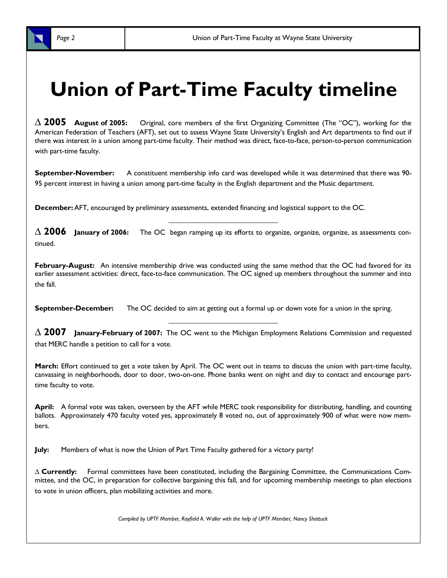

**∆ 2005 August of 2005:** Original, core members of the first Organizing Committee (The "OC"), working for the American Federation of Teachers (AFT), set out to assess Wayne State University's English and Art departments to find out if there was interest in a union among part-time faculty. Their method was direct, face-to-face, person-to-person communication with part-time faculty.

**September-November:** A constituent membership info card was developed while it was determined that there was 90- 95 percent interest in having a union among part-time faculty in the English department and the Music department.

**December:**AFT, encouraged by preliminary assessments, extended financing and logistical support to the OC.

**∆ 2006 January of 2006:** The OC began ramping up its efforts to organize, organize, organize, as assessments continued.

*\_\_\_\_\_\_\_\_\_\_\_\_\_\_\_\_\_\_\_\_\_\_\_\_\_\_\_\_\_\_*

**February-August:** An intensive membership drive was conducted using the same method that the OC had favored for its earlier assessment activities: direct, face-to-face communication. The OC signed up members throughout the summer and into the fall.

**September-December:** The OC decided to aim at getting out a formal up or down vote for a union in the spring.

**∆ 2007 January-February of 2007:** The OC went to the Michigan Employment Relations Commission and requested that MERC handle a petition to call for a vote.

*\_\_\_\_\_\_\_\_\_\_\_\_\_\_\_\_\_\_\_\_\_\_\_\_\_\_\_\_\_\_*

**March:** Effort continued to get a vote taken by April. The OC went out in teams to discuss the union with part-time faculty, canvassing in neighborhoods, door to door, two-on-one. Phone banks went on night and day to contact and encourage parttime faculty to vote.

**April:** A formal vote was taken, overseen by the AFT while MERC took responsibility for distributing, handling, and counting ballots. Approximately 470 faculty voted yes, approximately 8 voted no, out of approximately 900 of what were now members.

**July:** Members of what is now the Union of Part Time Faculty gathered for a victory party!

**∆ Currently:** Formal committees have been constituted, including the Bargaining Committee, the Communications Committee, and the OC, in preparation for collective bargaining this fall, and for upcoming membership meetings to plan elections to vote in union officers, plan mobilizing activities and more.

*Compiled by UPTF Member, Rayfield A. Waller with the help of UPTF Member, Nancy Shattuck*

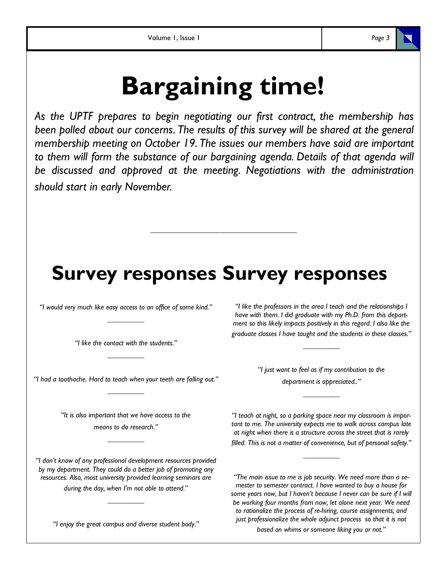# **Bargaining time!**

*As the UPTF prepares to begin negotiating our first contract, the membership has been polled about our concerns. The results of this survey will be shared at the general membership meeting on October 19. The issues our members have said are important*  to them will form the substance of our bargaining agenda. Details of that agenda will *be discussed and approved at the meeting. Negotiations with the administration should start in early November.*

## **Survey responses Survey responses**

*\_\_\_\_\_\_\_\_\_\_\_\_\_\_\_\_\_\_\_\_\_\_\_\_\_\_\_\_\_\_\_\_\_\_\_\_\_\_\_\_*

*"I would very much like easy access to an office of some kind." \_\_\_\_\_\_\_\_\_\_*

> *"I like the contact with the students." \_\_\_\_\_\_\_\_\_\_*

*"I had a toothache. Hard to teach when your teeth are falling out." \_\_\_\_\_\_\_\_\_\_*

> *"It is also important that we have access to the means to do research."*

> > *\_\_\_\_\_\_\_\_\_\_*

*"I don't know of any professional development resources provided by my department. They could do a better job of promoting any resources. Also, most university provided learning seminars are during the day, when I'm not able to attend."* 

*"I enjoy the great campus and diverse student body."* 

*\_\_\_\_\_\_\_\_\_\_*

*"I like the professors in the area I teach and the relationships I have with them. I did graduate with my Ph.D. from this department so this likely impacts positively in this regard. I also like the graduate classes I have taught and the students in these classes."* 

*\_\_\_\_\_\_\_\_\_\_*

*"I just want to feel as if my contribution to the department is appreciated.."*

*\_\_\_\_\_\_\_\_\_\_*

*"I teach at night, so a parking space near my classroom is important to me. The university expects me to walk across campus late at night when there is a structure across the street that is rarely* 

*filled. This is not a matter of convenience, but of personal safety." \_\_\_\_\_\_\_\_\_\_*

*"The main issue to me is job security. We need more than a semester to semester contract. I have wanted to buy a house for some years now, but I haven't because I never can be sure if I will be working four months from now, let alone next year. We need to rationalize the process of re-hiring, course assignments, and just professionalize the whole adjunct process so that it is not* 

*based on whims or someone liking you or not."*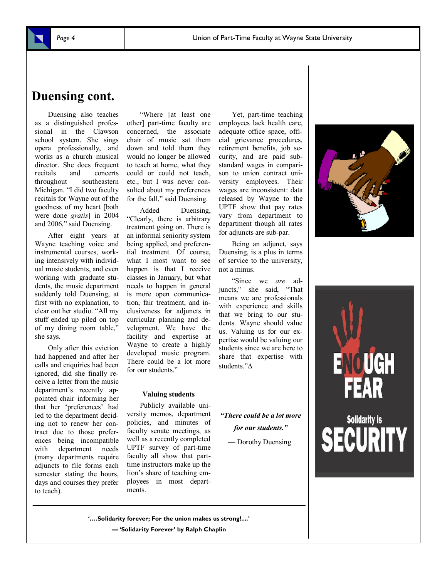

### **Duensing cont.**

Duensing also teaches as a distinguished professional in the Clawson school system. She sings opera professionally, and works as a church musical director. She does frequent<br>recitals and concerts recitals and concerts throughout southeastern Michigan. "I did two faculty recitals for Wayne out of the goodness of my heart [both were done *gratis*] in 2004 and 2006," said Duensing.

After eight years at Wayne teaching voice and instrumental courses, working intensively with individual music students, and even working with graduate students, the music department suddenly told Duensing, at first with no explanation, to clear out her studio. "All my stuff ended up piled on top of my dining room table," she says.

Only after this eviction had happened and after her calls and enquiries had been ignored, did she finally receive a letter from the music department"s recently appointed chair informing her that her "preferences" had led to the department deciding not to renew her contract due to those preferences being incompatible with department needs (many departments require adjuncts to file forms each semester stating the hours, days and courses they prefer to teach).

"Where [at least one other] part-time faculty are concerned, the associate chair of music sat them down and told them they would no longer be allowed to teach at home, what they could or could not teach, etc., but I was never consulted about my preferences for the fall," said Duensing.

Added Duensing, "Clearly, there is arbitrary treatment going on. There is an informal seniority system being applied, and preferential treatment. Of course, what I most want to see happen is that I receive classes in January, but what needs to happen in general is more open communication, fair treatment, and inclusiveness for adjuncts in curricular planning and development. We have the facility and expertise at Wayne to create a highly developed music program. There could be a lot more for our students."

#### **Valuing students**

Publicly available university memos, department policies, and minutes of faculty senate meetings, as well as a recently completed UPTF survey of part-time faculty all show that parttime instructors make up the lion"s share of teaching employees in most departments.

Yet, part-time teaching employees lack health care, adequate office space, official grievance procedures, retirement benefits, job security, and are paid substandard wages in comparison to union contract university employees. Their wages are inconsistent: data released by Wayne to the UPTF show that pay rates vary from department to department though all rates for adjuncts are sub-par.

Being an adjunct, says Duensing, is a plus in terms of service to the university, not a minus.

"Since we *are* adjuncts," she said, "That means we are professionals with experience and skills that we bring to our students. Wayne should value us. Valuing us for our expertise would be valuing our students since we are here to share that expertise with students."∆

*"There could be a lot more for our students."* 

— Dorothy Duensing





**'….Solidarity forever; For the union makes us strong!....' — 'Solidarity Forever' by Ralph Chaplin**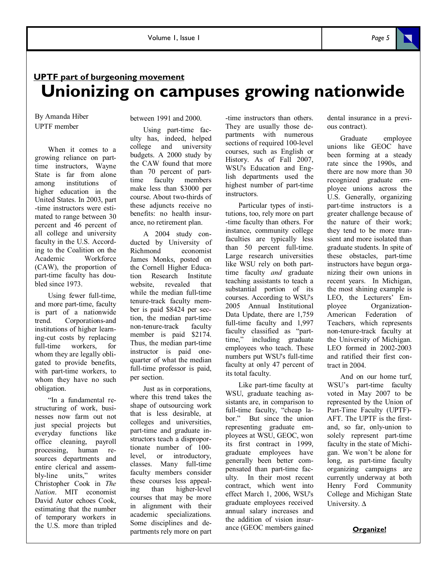### **UPTF part of burgeoning movement Unionizing on campuses growing nationwide**

By Amanda Hiber UPTF member

When it comes to a growing reliance on parttime instructors, Wayne State is far from alone among institutions of higher education in the United States. In 2003, part -time instructors were estimated to range between 30 percent and 46 percent of all college and university faculty in the U.S. According to the Coalition on the Academic Workforce (CAW), the proportion of part-time faculty has doubled since 1973.

Using fewer full-time, and more part-time, faculty is part of a nationwide trend. Corporations-and institutions of higher learning-cut costs by replacing full-time workers, for whom they are legally obligated to provide benefits, with part-time workers, to whom they have no such obligation.

"In a fundamental restructuring of work, businesses now farm out not just special projects but everyday functions like office cleaning, payroll processing, human resources departments and entire clerical and assembly-line units," writes Christopher Cook in *The Nation*. MIT economist David Autor echoes Cook, estimating that the number of temporary workers in the U.S. more than tripled between 1991 and 2000.

Using part-time faculty has, indeed, helped college and university budgets. A 2000 study by the CAW found that more than 70 percent of parttime faculty members make less than \$3000 per course. About two-thirds of these adjuncts receive no benefits: no health insurance, no retirement plan.

A 2004 study conducted by University of Richmond economist James Monks, posted on the Cornell Higher Education Research Institute website, revealed that while the median full-time tenure-track faculty member is paid \$8424 per section, the median part-time non-tenure-track faculty member is paid \$2174. Thus, the median part-time instructor is paid onequarter of what the median full-time professor is paid, per section.

Just as in corporations, where this trend takes the shape of outsourcing work that is less desirable, at colleges and universities, part-time and graduate instructors teach a disproportionate number of 100 level, or introductory, classes. Many full-time faculty members consider these courses less appealing than higher-level courses that may be more in alignment with their academic specializations. Some disciplines and departments rely more on part

-time instructors than others. They are usually those departments with numerous sections of required 100-level courses, such as English or History. As of Fall 2007, WSU's Education and English departments used the highest number of part-time instructors.

Particular types of institutions, too, rely more on part -time faculty than others. For instance, community college faculties are typically less than 50 percent full-time. Large research universities like WSU rely on both parttime faculty *and* graduate teaching assistants to teach a substantial portion of its courses. According to WSU's 2005 Annual Institutional Data Update, there are 1,759 full-time faculty and 1,997 faculty classified as "parttime," including graduate employees who teach. These numbers put WSU's full-time faculty at only 47 percent of its total faculty.

Like part-time faculty at WSU, graduate teaching assistants are, in comparison to full-time faculty, "cheap labor." But since the union representing graduate employees at WSU, GEOC, won its first contract in 1999, graduate employees have generally been better compensated than part-time faculty. In their most recent contract, which went into effect March 1, 2006, WSU's graduate employees received annual salary increases and the addition of vision insurance (GEOC members gained dental insurance in a previous contract).

Graduate employee unions like GEOC have been forming at a steady rate since the 1990s, and there are now more than 30 recognized graduate employee unions across the U.S. Generally, organizing part-time instructors is a greater challenge because of the nature of their work; they tend to be more transient and more isolated than graduate students. In spite of these obstacles, part-time instructors have begun organizing their own unions in recent years. In Michigan, the most shining example is LEO, the Lecturers' Employee Organization-American Federation of Teachers, which represents non-tenure-track faculty at the University of Michigan. LEO formed in 2002-2003 and ratified their first contract in 2004.

And on our home turf, WSU"s part-time faculty voted in May 2007 to be represented by the Union of Part-Time Faculty (UPTF)- AFT. The UPTF is the firstand, so far, only-union to solely represent part-time faculty in the state of Michigan. We won"t be alone for long, as part-time faculty organizing campaigns are currently underway at both Henry Ford Community College and Michigan State University. ∆

#### **Organize!**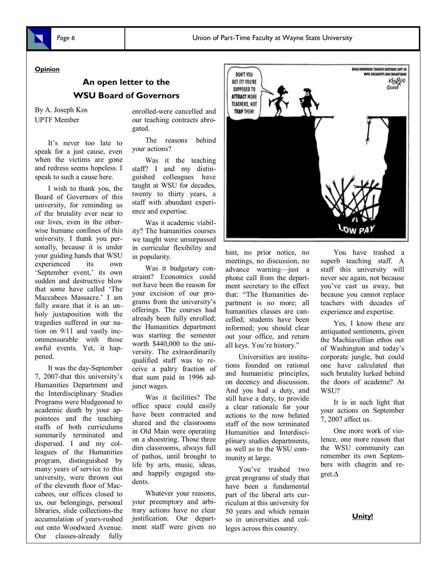#### **Opinion**

#### **An open letter to the WSU Board of Governors**

By A. Joseph Kos UPTF Member

It"s never too late to speak for a just cause, even when the victims are gone and redress seems hopeless. I speak to such a cause here.

I wish to thank you, the Board of Governors of this university, for reminding us of the brutality ever near to our lives, even in the otherwise humane confines of this university. I thank you personally, because it is under your guiding hands that WSU experienced its own 'September event,' its own sudden and destructive blow that some have called "The Maccabees Massacre." I am fully aware that it is an unholy juxtaposition with the tragedies suffered in our nation on 9/11 and vastly incommensurable with those awful events. Yet, it happened.

It was the day-September 7, 2007-that this university"s Humanities Department and the Interdisciplinary Studies Programs were bludgeoned to academic death by your appointees and the teaching staffs of both curriculums summarily terminated and dispersed. I and my colleagues of the Humanities program, distinguished by many years of service to this university, were thrown out of the eleventh floor of Maccabees, our offices closed to us, our belongings, personal libraries, slide collections-the accumulation of years-rushed out onto Woodward Avenue. Our classes-already fully

enrolled-were cancelled and our teaching contracts abrogated.

The reasons behind your actions?

Was it the teaching staff? I and my distinguished colleagues have taught at WSU for decades, twenty to thirty years, a staff with abundant experience and expertise.

Was it academic viability? The humanities courses we taught were unsurpassed in curricular flexibility and in popularity.

Was it budgetary constraint? Economics could not have been the reason for your excision of our programs from the university"s offerings. The courses had already been fully enrolled; the Humanities department was starting the semester worth \$440,000 to the university. The extraordinarily qualified staff was to receive a paltry fraction of that sum paid in 1996 adjunct wages.

Was it facilities? The office space could easily have been contracted and shared and the classrooms in Old Main were operating on a shoestring. Those three dim classrooms, always full of pathos, until brought to life by arts, music, ideas, and happily engaged students.

Whatever your reasons, your preemptory and arbitrary actions have no clear justification. Our department staff were given no



#### hint, no prior notice, no meetings, no discussion, no advance warning—just a phone call from the department secretary to the effect that: "The Humanities department is no more; all humanities classes are cancelled; students have been informed; you should clear out your office, and return all keys. You"re history."

Universities are institutions founded on rational and humanistic principles, on decency and discussion. And you had a duty, and still have a duty, to provide a clear rationale for your actions to the now belated staff of the now terminated Humanities and Interdisciplinary studies departments, as well as to the WSU community at large.

You"ve trashed two great programs of study that have been a fundamental part of the liberal arts curriculum at this university for 50 years and which remain so in universities and colleges across this country.

You have trashed a superb teaching staff. A staff this university will never see again, not because you"ve cast us away, but because you cannot replace teachers with decades of experience and expertise.

Yes, I know these are antiquated sentiments, given the Machiavellian ethos out of Washington and today"s corporate jungle, but could one have calculated that such brutality lurked behind the doors of academe? At WSU?

It is in such light that your actions on September 7, 2007 affect us.

One more work of violence, one more reason that the WSU community can remember its own Septembers with chagrin and regret.∆

**Unity!**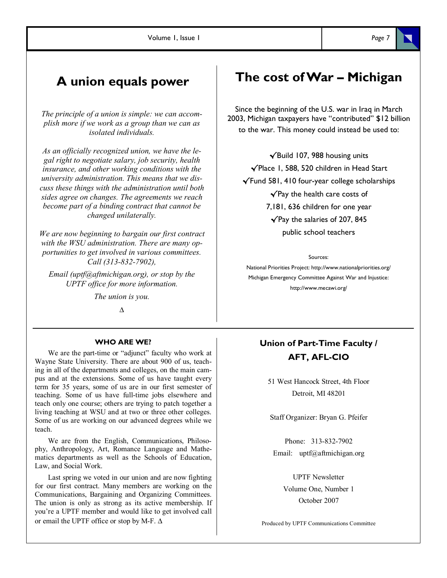### **A union equals power**

*The principle of a union is simple: we can accomplish more if we work as a group than we can as isolated individuals.* 

*As an officially recognized union, we have the legal right to negotiate salary, job security, health insurance, and other working conditions with the university administration. This means that we discuss these things with the administration until both sides agree on changes. The agreements we reach become part of a binding contract that cannot be changed unilaterally.* 

*We are now beginning to bargain our first contract with the WSU administration. There are many opportunities to get involved in various committees. Call (313-832-7902),* 

*Email (uptf@aftmichigan.org), or stop by the UPTF office for more information.* 

*The union is you.*

*∆*

#### **WHO ARE WE?**

We are the part-time or "adjunct" faculty who work at Wayne State University. There are about 900 of us, teaching in all of the departments and colleges, on the main campus and at the extensions. Some of us have taught every term for 35 years, some of us are in our first semester of teaching. Some of us have full-time jobs elsewhere and teach only one course; others are trying to patch together a living teaching at WSU and at two or three other colleges. Some of us are working on our advanced degrees while we teach.

We are from the English, Communications, Philosophy, Anthropology, Art, Romance Language and Mathematics departments as well as the Schools of Education, Law, and Social Work.

Last spring we voted in our union and are now fighting for our first contract. Many members are working on the Communications, Bargaining and Organizing Committees. The union is only as strong as its active membership. If you"re a UPTF member and would like to get involved call or email the UPTF office or stop by M-F. ∆

### **The cost of War – Michigan**

Since the beginning of the U.S. war in Iraq in March 2003, Michigan taxpayers have "contributed" \$12 billion to the war. This money could instead be used to:

√Build 107, 988 housing units √Place 1, 588, 520 children in Head Start √Fund 581, 410 four-year college scholarships √Pay the health care costs of 7,181, 636 children for one year √Pay the salaries of 207, 845 public school teachers

#### Sources:

National Priorities Project: http://www.nationalpriorities.org/ Michigan Emergency Committee Against War and Injustice: http://www.mecawi.org/

#### **Union of Part-Time Faculty / AFT, AFL-CIO**

51 West Hancock Street, 4th Floor Detroit, MI 48201

Staff Organizer: Bryan G. Pfeifer

Phone: 313-832-7902 Email: uptf@aftmichigan.org

> UPTF Newsletter Volume One, Number 1 October 2007

Produced by UPTF Communications Committee